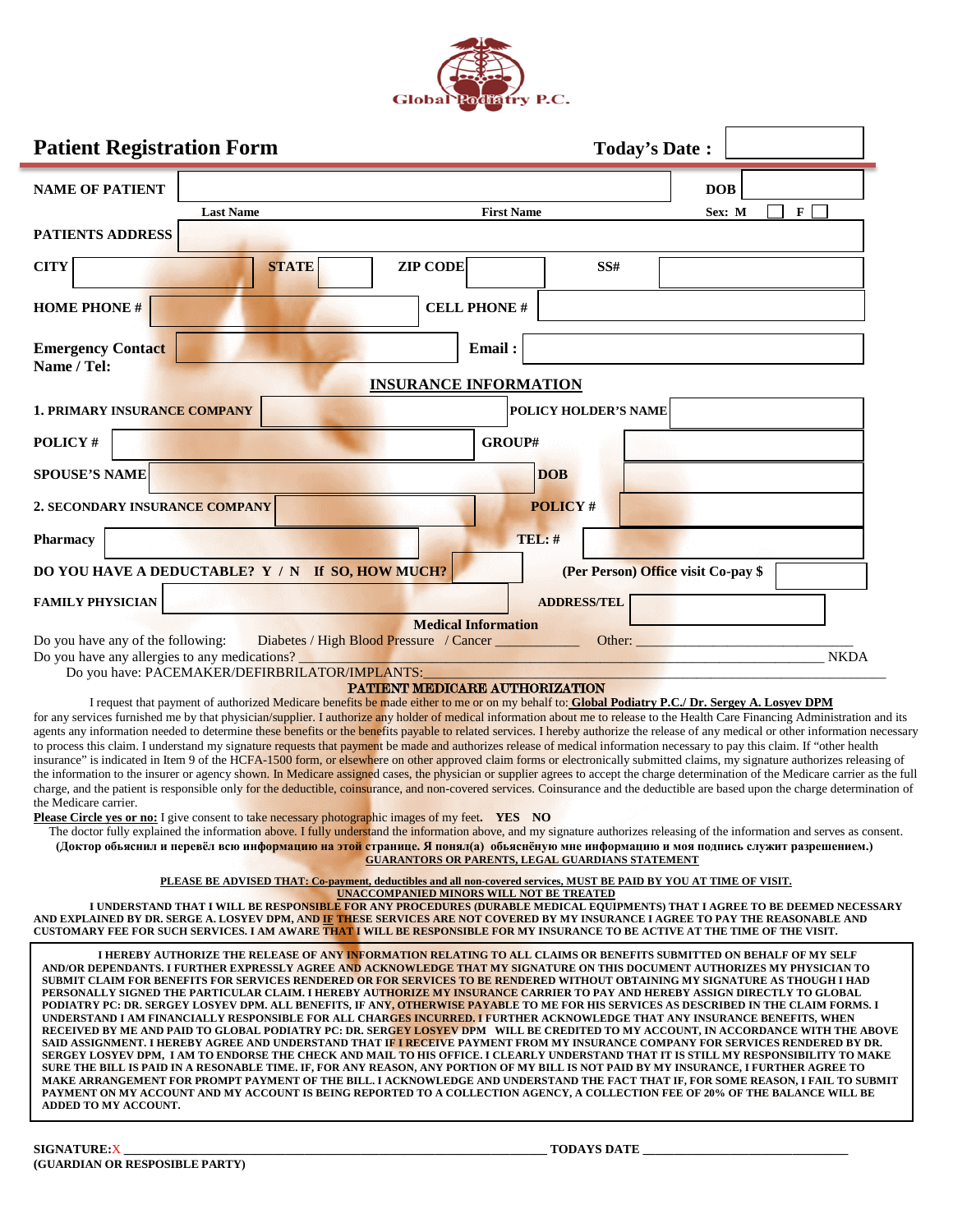

|                                                                                                                                                                                                                                                                                                                                                                                                                                                                                                  | <b>Patient Registration Form</b>                                                                                                                                                                                                                                                                                                                                                                                                                                                                                                                                                                                                                                                                                                                                                                                                                                                                                                                                                                                                                                                                                                                                                                                                                                                                                                                                                                                                                                                                                                                                                                                                                                                            |                                                                                                                     |                 |                                                         |                      |     | <b>Today's Date:</b>                |            |              |  |
|--------------------------------------------------------------------------------------------------------------------------------------------------------------------------------------------------------------------------------------------------------------------------------------------------------------------------------------------------------------------------------------------------------------------------------------------------------------------------------------------------|---------------------------------------------------------------------------------------------------------------------------------------------------------------------------------------------------------------------------------------------------------------------------------------------------------------------------------------------------------------------------------------------------------------------------------------------------------------------------------------------------------------------------------------------------------------------------------------------------------------------------------------------------------------------------------------------------------------------------------------------------------------------------------------------------------------------------------------------------------------------------------------------------------------------------------------------------------------------------------------------------------------------------------------------------------------------------------------------------------------------------------------------------------------------------------------------------------------------------------------------------------------------------------------------------------------------------------------------------------------------------------------------------------------------------------------------------------------------------------------------------------------------------------------------------------------------------------------------------------------------------------------------------------------------------------------------|---------------------------------------------------------------------------------------------------------------------|-----------------|---------------------------------------------------------|----------------------|-----|-------------------------------------|------------|--------------|--|
| <b>NAME OF PATIENT</b>                                                                                                                                                                                                                                                                                                                                                                                                                                                                           |                                                                                                                                                                                                                                                                                                                                                                                                                                                                                                                                                                                                                                                                                                                                                                                                                                                                                                                                                                                                                                                                                                                                                                                                                                                                                                                                                                                                                                                                                                                                                                                                                                                                                             |                                                                                                                     |                 |                                                         |                      |     |                                     | <b>DOB</b> |              |  |
|                                                                                                                                                                                                                                                                                                                                                                                                                                                                                                  | <b>Last Name</b>                                                                                                                                                                                                                                                                                                                                                                                                                                                                                                                                                                                                                                                                                                                                                                                                                                                                                                                                                                                                                                                                                                                                                                                                                                                                                                                                                                                                                                                                                                                                                                                                                                                                            |                                                                                                                     |                 | <b>First Name</b>                                       |                      |     |                                     | Sex: M     | $\mathbf{F}$ |  |
| PATIENTS ADDRESS                                                                                                                                                                                                                                                                                                                                                                                                                                                                                 |                                                                                                                                                                                                                                                                                                                                                                                                                                                                                                                                                                                                                                                                                                                                                                                                                                                                                                                                                                                                                                                                                                                                                                                                                                                                                                                                                                                                                                                                                                                                                                                                                                                                                             |                                                                                                                     |                 |                                                         |                      |     |                                     |            |              |  |
| <b>CITY</b>                                                                                                                                                                                                                                                                                                                                                                                                                                                                                      |                                                                                                                                                                                                                                                                                                                                                                                                                                                                                                                                                                                                                                                                                                                                                                                                                                                                                                                                                                                                                                                                                                                                                                                                                                                                                                                                                                                                                                                                                                                                                                                                                                                                                             | <b>STATE</b>                                                                                                        | <b>ZIP CODE</b> |                                                         |                      | SS# |                                     |            |              |  |
| <b>HOME PHONE #</b>                                                                                                                                                                                                                                                                                                                                                                                                                                                                              |                                                                                                                                                                                                                                                                                                                                                                                                                                                                                                                                                                                                                                                                                                                                                                                                                                                                                                                                                                                                                                                                                                                                                                                                                                                                                                                                                                                                                                                                                                                                                                                                                                                                                             |                                                                                                                     |                 | <b>CELL PHONE#</b>                                      |                      |     |                                     |            |              |  |
| <b>Emergency Contact</b><br>Name / Tel:                                                                                                                                                                                                                                                                                                                                                                                                                                                          |                                                                                                                                                                                                                                                                                                                                                                                                                                                                                                                                                                                                                                                                                                                                                                                                                                                                                                                                                                                                                                                                                                                                                                                                                                                                                                                                                                                                                                                                                                                                                                                                                                                                                             |                                                                                                                     |                 | Email:                                                  |                      |     |                                     |            |              |  |
|                                                                                                                                                                                                                                                                                                                                                                                                                                                                                                  |                                                                                                                                                                                                                                                                                                                                                                                                                                                                                                                                                                                                                                                                                                                                                                                                                                                                                                                                                                                                                                                                                                                                                                                                                                                                                                                                                                                                                                                                                                                                                                                                                                                                                             |                                                                                                                     |                 | <b>INSURANCE INFORMATION</b>                            |                      |     |                                     |            |              |  |
|                                                                                                                                                                                                                                                                                                                                                                                                                                                                                                  | 1. PRIMARY INSURANCE COMPANY                                                                                                                                                                                                                                                                                                                                                                                                                                                                                                                                                                                                                                                                                                                                                                                                                                                                                                                                                                                                                                                                                                                                                                                                                                                                                                                                                                                                                                                                                                                                                                                                                                                                |                                                                                                                     |                 |                                                         | POLICY HOLDER'S NAME |     |                                     |            |              |  |
| POLICY#                                                                                                                                                                                                                                                                                                                                                                                                                                                                                          |                                                                                                                                                                                                                                                                                                                                                                                                                                                                                                                                                                                                                                                                                                                                                                                                                                                                                                                                                                                                                                                                                                                                                                                                                                                                                                                                                                                                                                                                                                                                                                                                                                                                                             |                                                                                                                     |                 | GROUP#                                                  |                      |     |                                     |            |              |  |
| <b>SPOUSE'S NAME</b>                                                                                                                                                                                                                                                                                                                                                                                                                                                                             |                                                                                                                                                                                                                                                                                                                                                                                                                                                                                                                                                                                                                                                                                                                                                                                                                                                                                                                                                                                                                                                                                                                                                                                                                                                                                                                                                                                                                                                                                                                                                                                                                                                                                             |                                                                                                                     |                 |                                                         | <b>DOB</b>           |     |                                     |            |              |  |
|                                                                                                                                                                                                                                                                                                                                                                                                                                                                                                  | 2. SECONDARY INSURANCE COMPANY                                                                                                                                                                                                                                                                                                                                                                                                                                                                                                                                                                                                                                                                                                                                                                                                                                                                                                                                                                                                                                                                                                                                                                                                                                                                                                                                                                                                                                                                                                                                                                                                                                                              |                                                                                                                     |                 |                                                         | <b>POLICY#</b>       |     |                                     |            |              |  |
| Pharmacy                                                                                                                                                                                                                                                                                                                                                                                                                                                                                         |                                                                                                                                                                                                                                                                                                                                                                                                                                                                                                                                                                                                                                                                                                                                                                                                                                                                                                                                                                                                                                                                                                                                                                                                                                                                                                                                                                                                                                                                                                                                                                                                                                                                                             |                                                                                                                     |                 |                                                         | TEL: #               |     |                                     |            |              |  |
|                                                                                                                                                                                                                                                                                                                                                                                                                                                                                                  | DO YOU HAVE A DEDUCTABLE? Y / N If SO, HOW MUCH?                                                                                                                                                                                                                                                                                                                                                                                                                                                                                                                                                                                                                                                                                                                                                                                                                                                                                                                                                                                                                                                                                                                                                                                                                                                                                                                                                                                                                                                                                                                                                                                                                                            |                                                                                                                     |                 |                                                         |                      |     | (Per Person) Office visit Co-pay \$ |            |              |  |
| <b>FAMILY PHYSICIAN</b>                                                                                                                                                                                                                                                                                                                                                                                                                                                                          |                                                                                                                                                                                                                                                                                                                                                                                                                                                                                                                                                                                                                                                                                                                                                                                                                                                                                                                                                                                                                                                                                                                                                                                                                                                                                                                                                                                                                                                                                                                                                                                                                                                                                             |                                                                                                                     |                 |                                                         | <b>ADDRESS/TEL</b>   |     |                                     |            |              |  |
| <b>Medical Information</b><br>Do you have any of the following:<br>Diabetes / High Blood Pressure / Cancer<br>Other:<br><b>NKDA</b><br>Do you have any allergies to any medications?                                                                                                                                                                                                                                                                                                             |                                                                                                                                                                                                                                                                                                                                                                                                                                                                                                                                                                                                                                                                                                                                                                                                                                                                                                                                                                                                                                                                                                                                                                                                                                                                                                                                                                                                                                                                                                                                                                                                                                                                                             |                                                                                                                     |                 |                                                         |                      |     |                                     |            |              |  |
|                                                                                                                                                                                                                                                                                                                                                                                                                                                                                                  | Do you have: PACEMAKER/DEFIRBRILATOR/IMPLANTS:                                                                                                                                                                                                                                                                                                                                                                                                                                                                                                                                                                                                                                                                                                                                                                                                                                                                                                                                                                                                                                                                                                                                                                                                                                                                                                                                                                                                                                                                                                                                                                                                                                              |                                                                                                                     |                 | PATTENT MEDICARE AUTHORIZATION                          |                      |     |                                     |            |              |  |
| the Medicare carrier.                                                                                                                                                                                                                                                                                                                                                                                                                                                                            | I request that payment of authorized Medicare benefits be made either to me or on my behalf to: Global Podiatry P.C./ Dr. Sergey A. Losyev DPM<br>for any services furnished me by that physician/supplier. I authorize any holder of medical information about me to release to the Health Care Financing Administration and its<br>agents any information needed to determine these benefits or the benefits payable to related services. I hereby authorize the release of any medical or other information necessary<br>to process this claim. I understand my signature requests that payment be made and authorizes release of medical information necessary to pay this claim. If "other health<br>insurance" is indicated in Item 9 of the HCFA-1500 form, or elsewhere on other approved claim forms or electronically submitted claims, my signature authorizes releasing of<br>the information to the insurer or agency shown. In Medicare assigned cases, the physician or supplier agrees to accept the charge determination of the Medicare carrier as the full<br>charge, and the patient is responsible only for the deductible, coinsurance, and non-covered services. Coinsurance and the deductible are based upon the charge determination of<br>Please Circle yes or no: I give consent to take necessary photographic images of my feet. YES NO<br>The doctor fully explained the information above. I fully understand the information above, and my signature authorizes releasing of the information and serves as consent.<br>(Доктор обьяснил и перевёл всю информацию на этой странице. Я понял(а) обьяснёную мне информацию и моя подпись служит разрешением.) |                                                                                                                     |                 | <b>GUARANTORS OR PARENTS, LEGAL GUARDIANS STATEMENT</b> |                      |     |                                     |            |              |  |
|                                                                                                                                                                                                                                                                                                                                                                                                                                                                                                  |                                                                                                                                                                                                                                                                                                                                                                                                                                                                                                                                                                                                                                                                                                                                                                                                                                                                                                                                                                                                                                                                                                                                                                                                                                                                                                                                                                                                                                                                                                                                                                                                                                                                                             | PLEASE BE ADVISED THAT: Co-payment, deductibles and all non-covered services, MUST BE PAID BY YOU AT TIME OF VISIT. |                 |                                                         |                      |     |                                     |            |              |  |
| <b>UNACCOMPANIED MINORS WILL NOT BE TREATED</b><br>I UNDERSTAND THAT I WILL BE RESPONSIBLE FOR ANY PROCEDURES (DURABLE MEDICAL EQUIPMENTS) THAT I AGREE TO BE DEEMED NECESSARY<br>AND EXPLAINED BY DR. SERGE A. LOSYEV DPM, AN <mark>D IF THE</mark> SE SERVICE <mark>S ARE NOT</mark> COVERED BY MY INSURANCE I AGREE TO PAY THE REASONABLE AND<br>CUSTOMARY FEE FOR SUCH SERVICES. I AM AWAR <mark>E THAT I</mark> WILL BE RESPONSIBLE FOR MY INSURANCE TO BE ACTIVE AT THE TIME OF THE VISIT. |                                                                                                                                                                                                                                                                                                                                                                                                                                                                                                                                                                                                                                                                                                                                                                                                                                                                                                                                                                                                                                                                                                                                                                                                                                                                                                                                                                                                                                                                                                                                                                                                                                                                                             |                                                                                                                     |                 |                                                         |                      |     |                                     |            |              |  |
| ADDED TO MY ACCOUNT.                                                                                                                                                                                                                                                                                                                                                                                                                                                                             | I HEREBY AUTHORIZE THE RELEASE OF ANY INFORMATION RELATING TO ALL CLAIMS OR BENEFITS SUBMITTED ON BEHALF OF MY SELF<br>AND/OR DEPENDANTS. I FURTHER EXPRESSLY AGREE AND ACKNOWLEDGE THAT MY SIGNATURE ON THIS DOCUMENT AUTHORIZES MY PHYSICIAN TO<br>SUBMIT CLAIM FOR BENEFITS FOR SERVICES RENDERED OR FOR SERVICES TO BE RENDERED WITHOUT OBTAINING MY SIGNATURE AS THOUGH I HAD<br>PERSONALLY SIGNED THE PARTICULAR CLAIM. I HEREBY AU <mark>THORIZE MY INSURANCE C</mark> ARRIER TO PAY AND HEREBY ASSIGN DIRECTLY TO GLOBAL<br>PODIATRY PC: DR. SERGEY LOSYEV DPM. ALL BENEFITS, IF ANY, OTHERWISE PAYABLE TO ME FOR HIS SERVICES AS DESCRIBED IN THE CLAIM FORMS. I<br>UNDERSTAND I AM FINANCIALLY RESPONSIBLE FOR ALL CHAR <mark>GES INCURRED. I</mark> FURTHER ACKNOWLEDGE THAT ANY INSURANCE BENEFITS, WHEN<br>RECEIVED BY ME AND PAID TO GLOBAL PODIATRY PC: DR. SERG <mark>EY LOSYEV</mark> DPM WILL BE CREDITED TO MY ACCOUNT, IN ACCORDANCE WITH THE ABOVE<br>SAID ASSIGNMENT. I HEREBY AGREE AND UNDERSTAND THAT IF I RECEIVE PAYMENT FROM MY INSURANCE COMPANY FOR SERVICES RENDERED BY DR.<br>SERGEY LOSYEV DPM, I AM TO ENDORSE THE CHECK AND MAIL TO HIS OFFICE. I CLEARLY UNDERSTAND THAT IT IS STILL MY RESPONSIBILITY TO MAKE<br>SURE THE BILL IS PAID IN A RESONABLE TIME. IF, FOR ANY REASON, ANY PORTION OF MY BILL IS NOT PAID BY MY INSURANCE, I FURTHER AGREE TO<br>MAKE ARRANGEMENT FOR PROMPT PAYMENT OF THE BILL. I ACKNOWLEDGE AND UNDERSTAND THE FACT THAT IF, FOR SOME REASON, I FAIL TO SUBMIT<br>PAYMENT ON MY ACCOUNT AND MY ACCOUNT IS BEING REPORTED TO A COLLECTION AGENCY, A COLLECTION FEE OF 20% OF THE BALANCE WILL BE                           |                                                                                                                     |                 |                                                         |                      |     |                                     |            |              |  |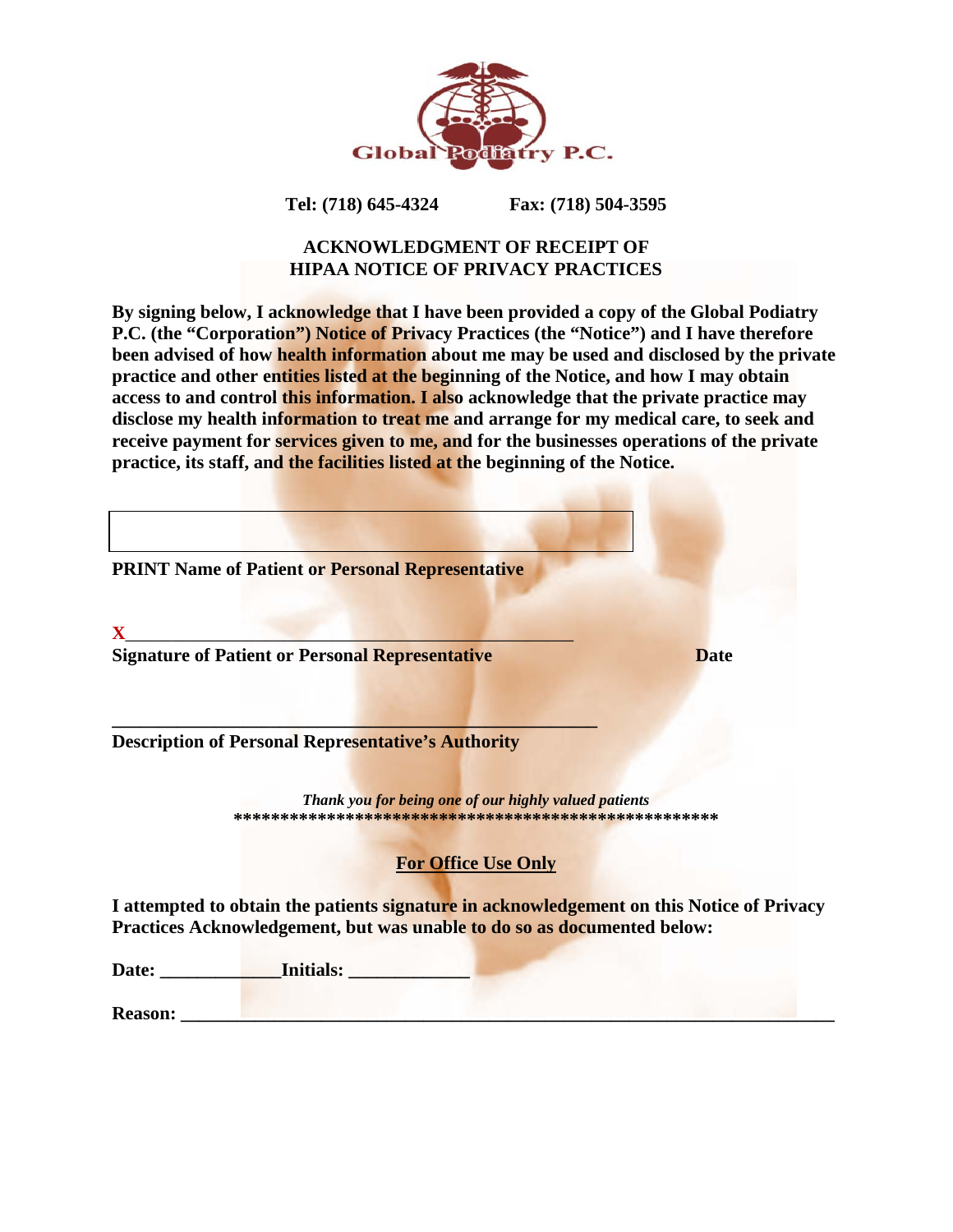

# **Tel: (718) 645-4324 Fax: (718) 504-3595**

# **ACKNOWLEDGMENT OF RECEIPT OF HIPAA NOTICE OF PRIVACY PRACTICES**

**By signing below, I acknowledge that I have been provided a copy of the Global Podiatry P.C. (the "Corporation") Notice of Privacy Practices (the "Notice") and I have therefore been advised of how health information about me may be used and disclosed by the private practice and other entities listed at the beginning of the Notice, and how I may obtain access to and control this information. I also acknowledge that the private practice may disclose my health information to treat me and arrange for my medical care, to seek and receive payment for services given to me, and for the businesses operations of the private practice, its staff, and the facilities listed at the beginning of the Notice.**

| <b>PRINT Name of Patient or Personal Representative</b>                                                                                                              |             |
|----------------------------------------------------------------------------------------------------------------------------------------------------------------------|-------------|
|                                                                                                                                                                      |             |
| <b>Signature of Patient or Personal Representative</b>                                                                                                               | <b>Date</b> |
|                                                                                                                                                                      |             |
|                                                                                                                                                                      |             |
| <b>Description of Personal Representative's Authority</b>                                                                                                            |             |
|                                                                                                                                                                      |             |
| Thank you for being one of our highly valued patients                                                                                                                |             |
|                                                                                                                                                                      |             |
| <b>For Office Use Only</b>                                                                                                                                           |             |
|                                                                                                                                                                      |             |
| I attempted to obtain the patients signature in acknowledgement on this Notice of Privacy<br>Practices Acknowledgement, but was unable to do so as documented below: |             |
|                                                                                                                                                                      |             |

| Date:          | <b>Initials:</b> |  |
|----------------|------------------|--|
| <b>Reason:</b> |                  |  |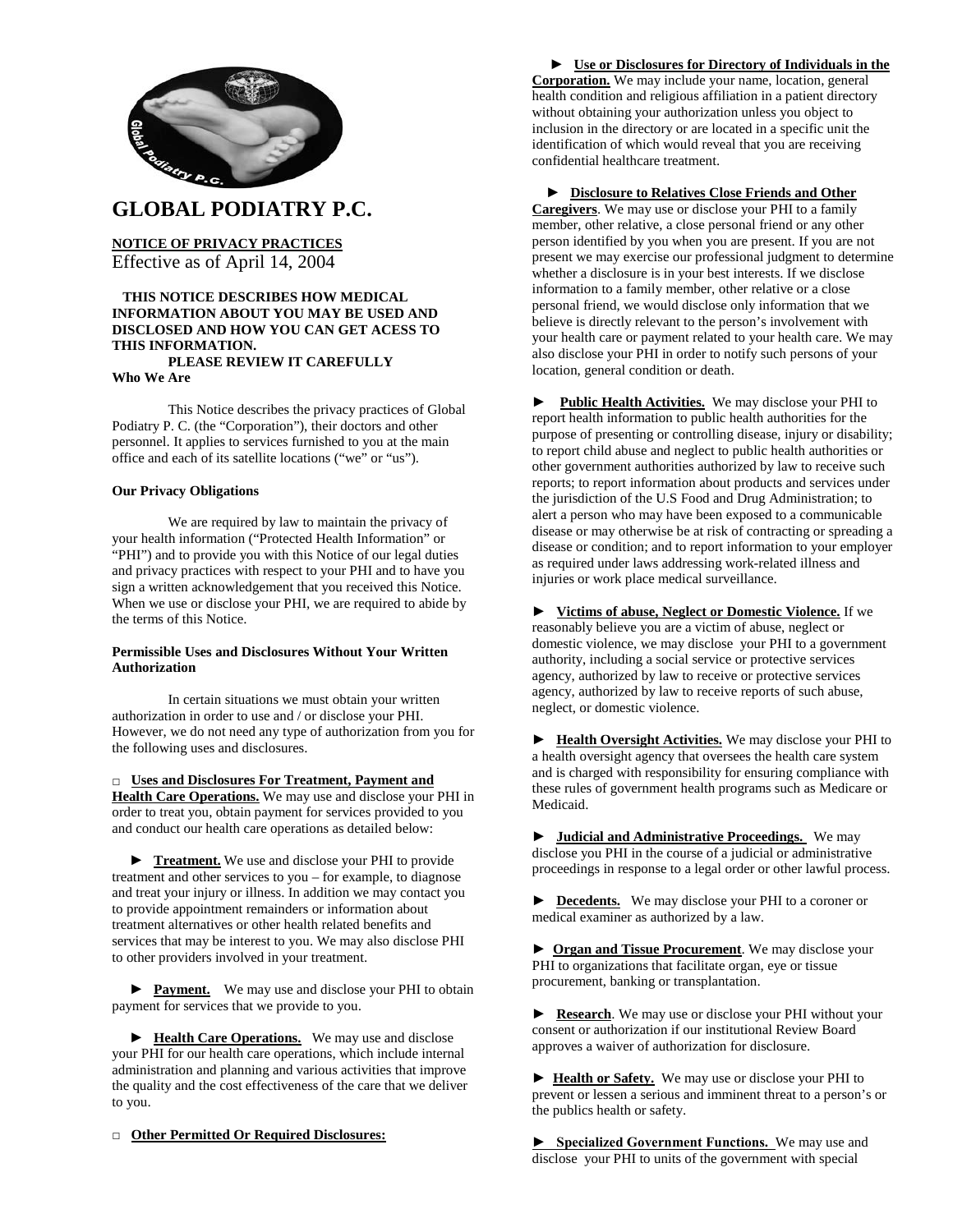

# **GLOBAL PODIATRY P.C.**

**NOTICE OF PRIVACY PRACTICES** Effective as of April 14, 2004

## **THIS NOTICE DESCRIBES HOW MEDICAL INFORMATION ABOUT YOU MAY BE USED AND DISCLOSED AND HOW YOU CAN GET ACESS TO THIS INFORMATION.**

# **PLEASE REVIEW IT CAREFULLY**

**Who We Are**

This Notice describes the privacy practices of Global Podiatry P. C. (the "Corporation"), their doctors and other personnel. It applies to services furnished to you at the main office and each of its satellite locations ("we" or "us").

#### **Our Privacy Obligations**

We are required by law to maintain the privacy of your health information ("Protected Health Information" or "PHI") and to provide you with this Notice of our legal duties and privacy practices with respect to your PHI and to have you sign a written acknowledgement that you received this Notice. When we use or disclose your PHI, we are required to abide by the terms of this Notice.

#### **Permissible Uses and Disclosures Without Your Written Authorization**

In certain situations we must obtain your written authorization in order to use and / or disclose your PHI. However, we do not need any type of authorization from you for the following uses and disclosures.

**□ Uses and Disclosures For Treatment, Payment and Health Care Operations.** We may use and disclose your PHI in order to treat you, obtain payment for services provided to you and conduct our health care operations as detailed below:

▶ **Treatment.** We use and disclose your PHI to provide treatment and other services to you – for example, to diagnose and treat your injury or illness. In addition we may contact you to provide appointment remainders or information about treatment alternatives or other health related benefits and services that may be interest to you. We may also disclose PHI to other providers involved in your treatment.

► **Payment.** We may use and disclose your PHI to obtain payment for services that we provide to you.

▶ **Health Care Operations.** We may use and disclose your PHI for our health care operations, which include internal administration and planning and various activities that improve the quality and the cost effectiveness of the care that we deliver to you.

**□ Other Permitted Or Required Disclosures:**

# **► Use or Disclosures for Directory of Individuals in the Corporation.** We may include your name, location, general

health condition and religious affiliation in a patient directory without obtaining your authorization unless you object to inclusion in the directory or are located in a specific unit the identification of which would reveal that you are receiving confidential healthcare treatment.

## ► **Disclosure to Relatives Close Friends and Other**

**Caregivers**. We may use or disclose your PHI to a family member, other relative, a close personal friend or any other person identified by you when you are present. If you are not present we may exercise our professional judgment to determine whether a disclosure is in your best interests. If we disclose information to a family member, other relative or a close personal friend, we would disclose only information that we believe is directly relevant to the person's involvement with your health care or payment related to your health care. We may also disclose your PHI in order to notify such persons of your location, general condition or death.

**► Public Health Activities.** We may disclose your PHI to report health information to public health authorities for the purpose of presenting or controlling disease, injury or disability; to report child abuse and neglect to public health authorities or other government authorities authorized by law to receive such reports; to report information about products and services under the jurisdiction of the U.S Food and Drug Administration; to alert a person who may have been exposed to a communicable disease or may otherwise be at risk of contracting or spreading a disease or condition; and to report information to your employer as required under laws addressing work-related illness and injuries or work place medical surveillance.

► **Victims of abuse, Neglect or Domestic Violence.** If we reasonably believe you are a victim of abuse, neglect or domestic violence, we may disclose your PHI to a government authority, including a social service or protective services agency, authorized by law to receive or protective services agency, authorized by law to receive reports of such abuse, neglect, or domestic violence.

► **Health Oversight Activities.** We may disclose your PHI to a health oversight agency that oversees the health care system and is charged with responsibility for ensuring compliance with these rules of government health programs such as Medicare or Medicaid.

► **Judicial and Administrative Proceedings.** We may disclose you PHI in the course of a judicial or administrative proceedings in response to a legal order or other lawful process.

► **Decedents.** We may disclose your PHI to a coroner or medical examiner as authorized by a law.

► **Organ and Tissue Procurement**. We may disclose your PHI to organizations that facilitate organ, eye or tissue procurement, banking or transplantation.

► **Research**. We may use or disclose your PHI without your consent or authorization if our institutional Review Board approves a waiver of authorization for disclosure.

► **Health or Safety.** We may use or disclose your PHI to prevent or lessen a serious and imminent threat to a person's or the publics health or safety.

**► Specialized Government Functions.** We may use and disclose your PHI to units of the government with special